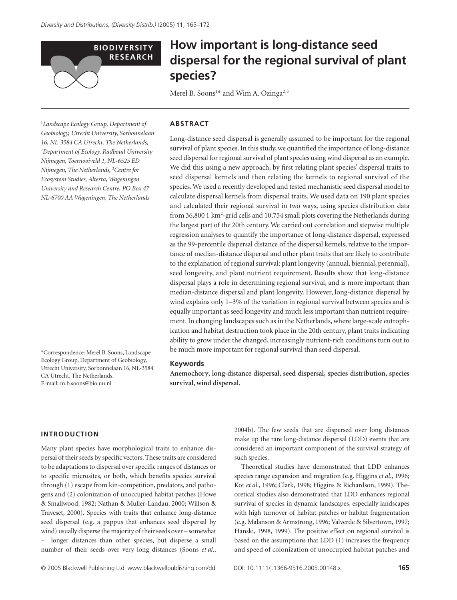

# **How important is long-distance seed dispersal for the regional survival of plant species?**

Merel B. Soons<sup>1\*</sup> and Wim A. Ozinga<sup>2,3</sup>

1 *Landscape Ecology Group, Department of Geobiology, Utrecht University, Sorbonnelaan 16, NL-3584 CA Utrecht, The Netherlands,*  2 *Department of Ecology, Radboud University Nijmegen, Toernooiveld 1, NL-6525 ED Nijmegen, The Netherlands,* <sup>3</sup> *Centre for Ecosystem Studies, Alterra, Wageningen University and Research Centre, PO Box 47 NL-6700 AA Wageningen, The Netherlands* 

\*Correspondence: Merel B. Soons, Landscape Ecology Group, Department of Geobiology, Utrecht University, Sorbonnelaan 16, NL-3584 CA Utrecht, The Netherlands. E-mail: m.b.soons@bio.uu.nl

# **ABSTRACT**

Long-distance seed dispersal is generally assumed to be important for the regional survival of plant species. In this study, we quantified the importance of long-distance seed dispersal for regional survival of plant species using wind dispersal as an example. We did this using a new approach, by first relating plant species' dispersal traits to seed dispersal kernels and then relating the kernels to regional survival of the species. We used a recently developed and tested mechanistic seed dispersal model to calculate dispersal kernels from dispersal traits. We used data on 190 plant species and calculated their regional survival in two ways, using species distribution data from 36,800 1 km<sup>2</sup>-grid cells and 10,754 small plots covering the Netherlands during the largest part of the 20th century. We carried out correlation and stepwise multiple regression analyses to quantify the importance of long-distance dispersal, expressed as the 99-percentile dispersal distance of the dispersal kernels, relative to the importance of median-distance dispersal and other plant traits that are likely to contribute to the explanation of regional survival: plant longevity (annual, biennial, perennial), seed longevity, and plant nutrient requirement. Results show that long-distance dispersal plays a role in determining regional survival, and is more important than median-distance dispersal and plant longevity. However, long-distance dispersal by wind explains only 1–3% of the variation in regional survival between species and is equally important as seed longevity and much less important than nutrient requirement. In changing landscapes such as in the Netherlands, where large-scale eutrophication and habitat destruction took place in the 20th century, plant traits indicating ability to grow under the changed, increasingly nutrient-rich conditions turn out to be much more important for regional survival than seed dispersal.

### **Keywords**

**Anemochory, long-distance dispersal, seed dispersal, species distribution, species survival, wind dispersal.**

## **INTRODUCTION**

Many plant species have morphological traits to enhance dispersal of their seeds by specific vectors. These traits are considered to be adaptations to dispersal over specific ranges of distances or to specific microsites, or both, which benefits species survival through (1) escape from kin-competition, predators, and pathogens and (2) colonization of unoccupied habitat patches (Howe & Smallwood, 1982; Nathan & Muller-Landau, 2000; Willson & Traveset, 2000). Species with traits that enhance long-distance seed dispersal (e.g. a pappus that enhances seed dispersal by wind) usually disperse the majority of their seeds over – somewhat – longer distances than other species, but disperse a small number of their seeds over very long distances (Soons *et al*.,

2004b). The few seeds that are dispersed over long distances make up the rare long-distance dispersal (LDD) events that are considered an important component of the survival strategy of such species.

Theoretical studies have demonstrated that LDD enhances species range expansion and migration (e.g. Higgins *et al*., 1996; Kot *et al*., 1996; Clark, 1998; Higgins & Richardson, 1999). Theoretical studies also demonstrated that LDD enhances regional survival of species in dynamic landscapes, especially landscapes with high turnover of habitat patches or habitat fragmentation (e.g. Malanson & Armstrong, 1996; Valverde & Silvertown, 1997; Hanski, 1998, 1999). The positive effect on regional survival is based on the assumptions that LDD (1) increases the frequency and speed of colonization of unoccupied habitat patches and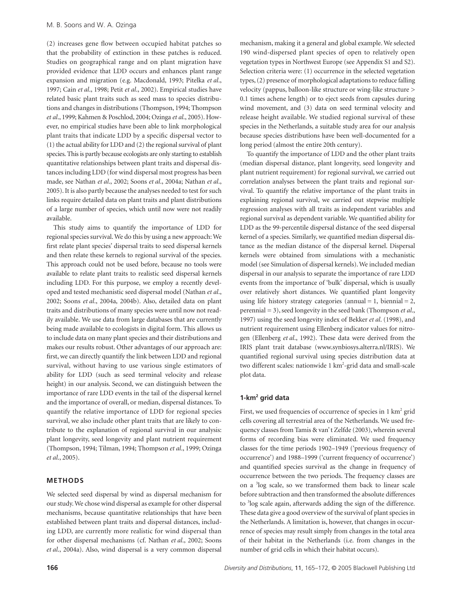(2) increases gene flow between occupied habitat patches so that the probability of extinction in these patches is reduced. Studies on geographical range and on plant migration have provided evidence that LDD occurs and enhances plant range expansion and migration (e.g. Macdonald, 1993; Pitelka *et al*., 1997; Cain *et al*., 1998; Petit *et al*., 2002). Empirical studies have related basic plant traits such as seed mass to species distributions and changes in distributions (Thompson, 1994; Thompson *et al*., 1999; Kahmen & Poschlod, 2004; Ozinga *et al*., 2005). However, no empirical studies have been able to link morphological plant traits that indicate LDD by a specific dispersal vector to (1) the actual ability for LDD and (2) the regional survival of plant species. This is partly because ecologists are only starting to establish quantitative relationships between plant traits and dispersal distances including LDD (for wind dispersal most progress has been made, see Nathan *et al*., 2002; Soons *et al*., 2004a; Nathan *et al*., 2005). It is also partly because the analyses needed to test for such links require detailed data on plant traits and plant distributions of a large number of species, which until now were not readily available.

This study aims to quantify the importance of LDD for regional species survival. We do this by using a new approach: We first relate plant species' dispersal traits to seed dispersal kernels and then relate these kernels to regional survival of the species. This approach could not be used before, because no tools were available to relate plant traits to realistic seed dispersal kernels including LDD. For this purpose, we employ a recently developed and tested mechanistic seed dispersal model (Nathan *et al*., 2002; Soons *et al*., 2004a, 2004b). Also, detailed data on plant traits and distributions of many species were until now not readily available. We use data from large databases that are currently being made available to ecologists in digital form. This allows us to include data on many plant species and their distributions and makes our results robust. Other advantages of our approach are: first, we can directly quantify the link between LDD and regional survival, without having to use various single estimators of ability for LDD (such as seed terminal velocity and release height) in our analysis. Second, we can distinguish between the importance of rare LDD events in the tail of the dispersal kernel and the importance of overall, or median, dispersal distances. To quantify the relative importance of LDD for regional species survival, we also include other plant traits that are likely to contribute to the explanation of regional survival in our analysis: plant longevity, seed longevity and plant nutrient requirement (Thompson, 1994; Tilman, 1994; Thompson *et al*., 1999; Ozinga *et al*., 2005).

## **METHODS**

We selected seed dispersal by wind as dispersal mechanism for our study. We chose wind dispersal as example for other dispersal mechanisms, because quantitative relationships that have been established between plant traits and dispersal distances, including LDD, are currently more realistic for wind dispersal than for other dispersal mechanisms (cf. Nathan *et al*., 2002; Soons *et al*., 2004a). Also, wind dispersal is a very common dispersal

mechanism, making it a general and global example. We selected 190 wind-dispersed plant species of open to relatively open vegetation types in Northwest Europe (see Appendix S1 and S2). Selection criteria were: (1) occurrence in the selected vegetation types, (2) presence of morphological adaptations to reduce falling velocity (pappus, balloon-like structure or wing-like structure > 0.1 times achene length) or to eject seeds from capsules during wind movement, and (3) data on seed terminal velocity and release height available. We studied regional survival of these species in the Netherlands, a suitable study area for our analysis because species distributions have been well-documented for a long period (almost the entire 20th century).

To quantify the importance of LDD and the other plant traits (median dispersal distance, plant longevity, seed longevity and plant nutrient requirement) for regional survival, we carried out correlation analyses between the plant traits and regional survival. To quantify the relative importance of the plant traits in explaining regional survival, we carried out stepwise multiple regression analyses with all traits as independent variables and regional survival as dependent variable. We quantified ability for LDD as the 99-percentile dispersal distance of the seed dispersal kernel of a species. Similarly, we quantified median dispersal distance as the median distance of the dispersal kernel. Dispersal kernels were obtained from simulations with a mechanistic model (see Simulation of dispersal kernels). We included median dispersal in our analysis to separate the importance of rare LDD events from the importance of 'bulk' dispersal, which is usually over relatively short distances. We quantified plant longevity using life history strategy categories (annual  $= 1$ , biennial  $= 2$ , perennial = 3), seed longevity in the seed bank (Thompson *et al*., 1997) using the seed longevity index of Bekker *et al*. (1998), and nutrient requirement using Ellenberg indicator values for nitrogen (Ellenberg *et al*., 1992). These data were derived from the IRIS plant trait database (www.synbiosys.alterra.nl/IRIS). We quantified regional survival using species distribution data at two different scales: nationwide 1 km<sup>2</sup>-grid data and small-scale plot data.

## **1-km2 grid data**

First, we used frequencies of occurrence of species in 1 km<sup>2</sup> grid cells covering all terrestrial area of the Netherlands. We used frequency classes from Tamis & van' t Zelfde (2003), wherein several forms of recording bias were eliminated. We used frequency classes for the time periods 1902–1949 ('previous frequency of occurrence') and 1988–1999 ('current frequency of occurrence') and quantified species survival as the change in frequency of occurrence between the two periods. The frequency classes are on a <sup>3</sup> log scale, so we transformed them back to linear scale before subtraction and then transformed the absolute differences to <sup>3</sup>log scale again, afterwards adding the sign of the difference. These data give a good overview of the survival of plant species in the Netherlands. A limitation is, however, that changes in occurrence of species may result simply from changes in the total area of their habitat in the Netherlands (i.e. from changes in the number of grid cells in which their habitat occurs).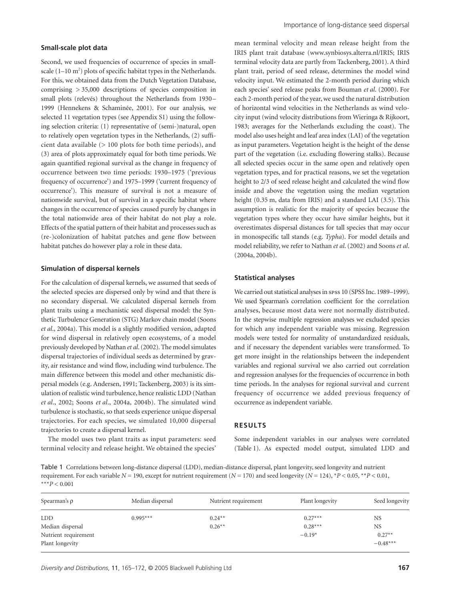#### **Small-scale plot data**

Second, we used frequencies of occurrence of species in smallscale  $(1-10 \text{ m}^2)$  plots of specific habitat types in the Netherlands. For this, we obtained data from the Dutch Vegetation Database, comprising > 35,000 descriptions of species composition in small plots (relevés) throughout the Netherlands from 1930– 1999 (Hennekens & Schaminée, 2001). For our analysis, we selected 11 vegetation types (see Appendix S1) using the following selection criteria: (1) representative of (semi-)natural, open to relatively open vegetation types in the Netherlands, (2) sufficient data available (> 100 plots for both time periods), and (3) area of plots approximately equal for both time periods. We again quantified regional survival as the change in frequency of occurrence between two time periods: 1930–1975 ('previous frequency of occurrence') and 1975–1999 ('current frequency of occurrence'). This measure of survival is not a measure of nationwide survival, but of survival in a specific habitat where changes in the occurrence of species caused purely by changes in the total nationwide area of their habitat do not play a role. Effects of the spatial pattern of their habitat and processes such as (re-)colonization of habitat patches and gene flow between habitat patches do however play a role in these data.

## **Simulation of dispersal kernels**

For the calculation of dispersal kernels, we assumed that seeds of the selected species are dispersed only by wind and that there is no secondary dispersal. We calculated dispersal kernels from plant traits using a mechanistic seed dispersal model: the Synthetic Turbulence Generation (STG) Markov chain model (Soons *et al*., 2004a). This model is a slightly modified version, adapted for wind dispersal in relatively open ecosystems, of a model previously developed by Nathan *et al*. (2002). The model simulates dispersal trajectories of individual seeds as determined by gravity, air resistance and wind flow, including wind turbulence. The main difference between this model and other mechanistic dispersal models (e.g. Andersen, 1991; Tackenberg, 2003) is its simulation of realistic wind turbulence, hence realistic LDD (Nathan *et al*., 2002; Soons *et al*., 2004a, 2004b). The simulated wind turbulence is stochastic, so that seeds experience unique dispersal trajectories. For each species, we simulated 10,000 dispersal trajectories to create a dispersal kernel.

The model uses two plant traits as input parameters: seed terminal velocity and release height. We obtained the species' mean terminal velocity and mean release height from the IRIS plant trait database (www.synbiosys.alterra.nl/IRIS; IRIS terminal velocity data are partly from Tackenberg, 2001). A third plant trait, period of seed release, determines the model wind velocity input. We estimated the 2-month period during which each species' seed release peaks from Bouman *et al*. (2000). For each 2-month period of the year, we used the natural distribution of horizontal wind velocities in the Netherlands as wind velocity input (wind velocity distributions from Wieringa & Rijkoort, 1983; averages for the Netherlands excluding the coast). The model also uses height and leaf area index (LAI) of the vegetation as input parameters. Vegetation height is the height of the dense part of the vegetation (i.e. excluding flowering stalks). Because all selected species occur in the same open and relatively open vegetation types, and for practical reasons, we set the vegetation height to 2/3 of seed release height and calculated the wind flow inside and above the vegetation using the median vegetation height (0.35 m, data from IRIS) and a standard LAI (3.5). This assumption is realistic for the majority of species because the vegetation types where they occur have similar heights, but it overestimates dispersal distances for tall species that may occur in monospecific tall stands (e.g. *Typha*). For model details and model reliability, we refer to Nathan *et al*. (2002) and Soons *et al*. (2004a, 2004b).

#### **Statistical analyses**

We carried out statistical analyses in spss 10 (SPSS Inc. 1989–1999). We used Spearman's correlation coefficient for the correlation analyses, because most data were not normally distributed. In the stepwise multiple regression analyses we excluded species for which any independent variable was missing. Regression models were tested for normality of unstandardized residuals, and if necessary the dependent variables were transformed. To get more insight in the relationships between the independent variables and regional survival we also carried out correlation and regression analyses for the frequencies of occurrence in both time periods. In the analyses for regional survival and current frequency of occurrence we added previous frequency of occurrence as independent variable.

# **RESULTS**

Some independent variables in our analyses were correlated (Table 1). As expected model output, simulated LDD and

| Table 1 Correlations between long-distance dispersal (LDD), median-distance dispersal, plant longevity, seed longevity and nutrient               |
|---------------------------------------------------------------------------------------------------------------------------------------------------|
| requirement. For each variable $N = 190$ , except for nutrient requirement ( $N = 170$ ) and seed longevity ( $N = 124$ ), *P < 0.05, **P < 0.01, |
| *** $P < 0.001$                                                                                                                                   |

| Spearman's $\rho$                       | Median dispersal | Nutrient requirement | Plant longevity | Seed longevity         |
|-----------------------------------------|------------------|----------------------|-----------------|------------------------|
| <b>LDD</b>                              | $0.995***$       | $0.24**$             | $0.27***$       | NS                     |
| Median dispersal                        |                  | $0.26**$             | $0.28***$       | <b>NS</b>              |
| Nutrient requirement<br>Plant longevity |                  |                      | $-0.19*$        | $0.27**$<br>$-0.48***$ |
|                                         |                  |                      |                 |                        |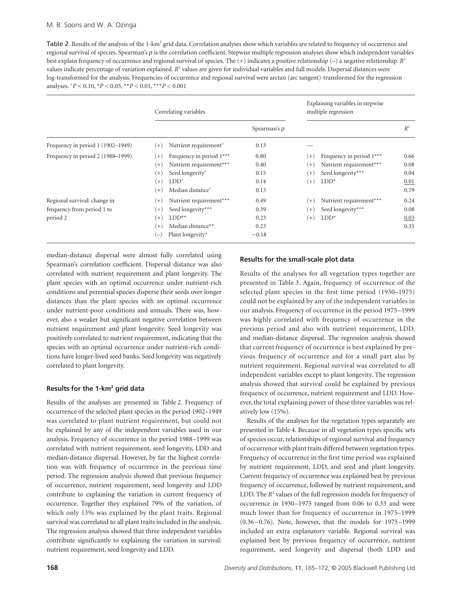## M. B. Soons and W. A. Ozinga

Table 2 Results of the analysis of the 1-km<sup>2</sup> grid data. Correlation analyses show which variables are related to frequency of occurrence and regional survival of species. Spearman's ρ is the correlation coefficient. Stepwise multiple regression analyses show which independent variables best explain frequency of occurrence and regional survival of species. The (+) indicates a positive relationship (–) a negative relationship. *R*<sup>2</sup> values indicate percentage of variation explained. R<sup>2</sup> values are given for individual variables and full models. Dispersal distances were log-transformed for the analysis. Frequencies of occurrence and regional survival were arctan (arc tangent)-transformed for the regression analyses. + *P <* 0.10, \**P* < 0.05, \*\**P* < 0.01, \*\*\**P* < 0.001

|                                   | Correlating variables |                                   |                   | Explaining variables in stepwise<br>multiple regression |                            |       |
|-----------------------------------|-----------------------|-----------------------------------|-------------------|---------------------------------------------------------|----------------------------|-------|
|                                   |                       |                                   | Spearman's $\rho$ |                                                         |                            | $R^2$ |
| Frequency in period 1 (1902–1949) | $(+)$                 | Nutrient requirement <sup>+</sup> | 0.13              |                                                         |                            |       |
| Frequency in period 2 (1988–1999) | $(+)$                 | Frequency in period 1***          | 0.80              | $(+)$                                                   | Frequency in period $1***$ | 0.66  |
|                                   | $(+)$                 | Nutrient requirement***           | 0.40              | $(+)$                                                   | Nutrient requirement***    | 0.08  |
|                                   | $(+)$                 | Seed longevity <sup>+</sup>       | 0.15              | $(+)$                                                   | Seed longevity***          | 0.04  |
|                                   | $(+)$                 | $LDD^+$                           | 0.14              | $^{(+)}$                                                | $LDD^*$                    | 0.01  |
|                                   | $(+)$                 | Median distance <sup>+</sup>      | 0.13              |                                                         |                            | 0.79  |
| Regional survival: change in      | $(+)$                 | Nutrient requirement***           | 0.49              | $(+)$                                                   | Nutrient requirement***    | 0.24  |
| frequency from period 1 to        | $(+)$                 | Seed longevity***                 | 0.39              | $(+)$                                                   | Seed longevity***          | 0.08  |
| period 2                          | $^{(+)}$              | $LDD**$                           | 0.23              | $^{(+)}$                                                | $LDD^*$                    | 0.03  |
|                                   | $(+)$                 | Median distance**                 | 0.23              |                                                         |                            | 0.35  |
|                                   | $(-)$                 | Plant longevity*                  | $-0.18$           |                                                         |                            |       |

median-distance dispersal were almost fully correlated using Spearman's correlation coefficient. Dispersal distance was also correlated with nutrient requirement and plant longevity. The plant species with an optimal occurrence under nutrient-rich conditions and perennial species disperse their seeds over longer distances than the plant species with an optimal occurrence under nutrient-poor conditions and annuals. There was, however, also a weaker but significant negative correlation between nutrient requirement and plant longevity. Seed longevity was positively correlated to nutrient requirement, indicating that the species with an optimal occurrence under nutrient-rich conditions have longer-lived seed banks. Seed longevity was negatively correlated to plant longevity.

## **Results for the 1-km2 grid data**

Results of the analyses are presented in Table 2. Frequency of occurrence of the selected plant species in the period 1902–1949 was correlated to plant nutrient requirement, but could not be explained by any of the independent variables used in our analysis. Frequency of occurrence in the period 1988–1999 was correlated with nutrient requirement, seed longevity, LDD and median-distance dispersal. However, by far the highest correlation was with frequency of occurrence in the previous time period. The regression analysis showed that previous frequency of occurrence, nutrient requirement, seed longevity and LDD contribute to explaining the variation in current frequency of occurrence. Together they explained 79% of the variation, of which only 13% was explained by the plant traits. Regional survival was correlated to all plant traits included in the analysis. The regression analysis showed that three independent variables contribute significantly to explaining the variation in survival: nutrient requirement, seed longevity and LDD.

## **Results for the small-scale plot data**

Results of the analyses for all vegetation types together are presented in Table 3. Again, frequency of occurrence of the selected plant species in the first time period (1930–1975) could not be explained by any of the independent variables in our analysis. Frequency of occurrence in the period 1975–1999 was highly correlated with frequency of occurrence in the previous period and also with nutrient requirement, LDD, and median-distance dispersal. The regression analysis showed that current frequency of occurrence is best explained by previous frequency of occurrence and for a small part also by nutrient requirement. Regional survival was correlated to all independent variables except to plant longevity. The regression analysis showed that survival could be explained by previous frequency of occurrence, nutrient requirement and LDD. However, the total explaining power of these three variables was relatively low (15%).

Results of the analyses for the vegetation types separately are presented in Table 4. Because in all vegetation types specific sets of species occur, relationships of regional survival and frequency of occurrence with plant traits differed between vegetation types. Frequency of occurrence in the first time period was explained by nutrient requirement, LDD, and seed and plant longevity. Current frequency of occurrence was explained best by previous frequency of occurrence, followed by nutrient requirement, and LDD. The  $R^2$  values of the full regression models for frequency of occurrence in 1930–1975 ranged from 0.06 to 0.33 and were much lower than for frequency of occurrence in 1975–1999 (0.36–0.76). Note, however, that the models for 1975–1999 included an extra explanatory variable. Regional survival was explained best by previous frequency of occurrence, nutrient requirement, seed longevity and dispersal (both LDD and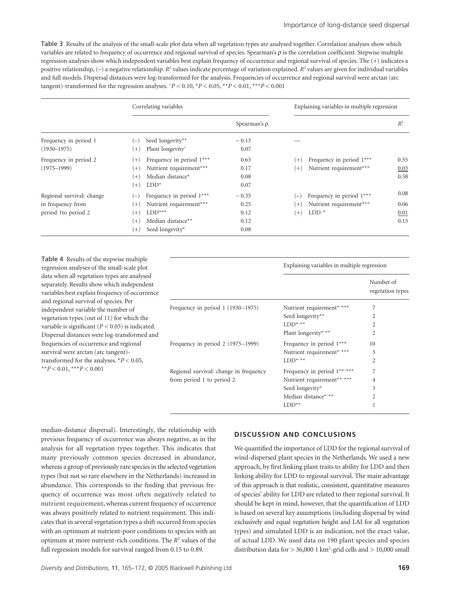Table 3 Results of the analysis of the small-scale plot data when all vegetation types are analysed together. Correlation analyses show which variables are related to frequency of occurrence and regional survival of species. Spearman's ρ is the correlation coefficient. Stepwise multiple regression analyses show which independent variables best explain frequency of occurrence and regional survival of species. The (+) indicates a positive relationship, (-) a negative relationship.  $R^2$  values indicate percentage of variation explained.  $R^2$  values are given for individual variables and full models. Dispersal distances were log-transformed for the analysis. Frequencies of occurrence and regional survival were arctan (arc tangent)-transformed for the regression analyses. + *P <* 0.10, \**P* < 0.05, \*\**P* < 0.01, \*\*\**P* < 0.001

|                           | Correlating variables |                              | Explaining variables in multiple regression |       |                            |       |
|---------------------------|-----------------------|------------------------------|---------------------------------------------|-------|----------------------------|-------|
|                           |                       |                              | Spearman's $\rho$                           |       |                            | $R^2$ |
| Frequency in period 1     | $(-)$                 | Seed longevity**             | $-0.13$                                     |       |                            |       |
| $(1930 - 1975)$           | $^{(+)}$              | Plant longevity <sup>+</sup> | 0.07                                        |       |                            |       |
| Frequency in period 2     | $^{(+)}$              | Frequency in period $1***$   | 0.63                                        | $(+)$ | Frequency in period $1***$ | 0.55  |
| $(1975 - 1999)$           | $(+)$                 | Nutrient requirement***      | 0.17                                        | $(+)$ | Nutrient requirement***    | 0.03  |
|                           | $(+)$                 | Median distance*             | 0.08                                        |       |                            | 0.58  |
|                           | $^{(+)}$              | $LDD^*$                      | 0.07                                        |       |                            |       |
| Regional survival: change | $(-)$                 | Frequency in period $1***$   | $-0.35$                                     | $(-)$ | Frequency in period $1***$ | 0.08  |
| in frequency from         | $(+)$                 | Nutrient requirement***      | 0.25                                        | $(+)$ | Nutrient requirement***    | 0.06  |
| period 1 to period 2      | $(+)$                 | $LDD***$                     | 0.12                                        | $(+)$ | $LDD*$                     | 0.01  |
|                           | $(+)$                 | Median distance**            | 0.12                                        |       |                            | 0.15  |
|                           | $(+)$                 | Seed longevity*              | 0.08                                        |       |                            |       |

| <b>Table 4</b> Results of the stepwise multiple      |  |  |  |  |  |
|------------------------------------------------------|--|--|--|--|--|
| regression analyses of the small-scale plot          |  |  |  |  |  |
| data when all vegetation types are analysed          |  |  |  |  |  |
| separately. Results show which independent           |  |  |  |  |  |
| variables best explain frequency of occurrence       |  |  |  |  |  |
| and regional survival of species. Per                |  |  |  |  |  |
| independent variable the number of                   |  |  |  |  |  |
| vegetation types (out of 11) for which the           |  |  |  |  |  |
| variable is significant ( $P < 0.05$ ) is indicated. |  |  |  |  |  |
| Dispersal distances were log-transformed and         |  |  |  |  |  |
| frequencies of occurrence and regional               |  |  |  |  |  |
| survival were arctan (arc tangent)-                  |  |  |  |  |  |
| transformed for the analyses. $*P < 0.05$ ,          |  |  |  |  |  |
| ** $P < 0.01$ , *** $P < 0.001$                      |  |  |  |  |  |
|                                                      |  |  |  |  |  |

Explaining variables in multiple regression

|                                        |                                       | Number of<br>vegetation types |
|----------------------------------------|---------------------------------------|-------------------------------|
| Frequency in period $1(1930-1975)$     | Nutrient requirement* <sup>-***</sup> | 7                             |
|                                        | Seed longevity**                      | 2                             |
|                                        | $LDD^{***}$                           | $\overline{c}$                |
|                                        | Plant longevity* <sup>-**</sup>       | 2                             |
| Frequency in period $2(1975-1999)$     | Frequency in period $1***$            | 10                            |
|                                        | Nutrient requirement****              | 5                             |
|                                        | $LDD^{***}$                           | $\overline{2}$                |
| Regional survival: change in frequency | Frequency in period $1*****$          | 7                             |
| from period 1 to period 2              | Nutrient requirement******            | 4                             |
|                                        | Seed longevity*                       | 3                             |
|                                        | Median distance*-**                   | $\overline{c}$                |
|                                        | $LDD**$                               |                               |

median-distance dispersal). Interestingly, the relationship with previous frequency of occurrence was always negative, as in the analysis for all vegetation types together. This indicates that many previously common species decreased in abundance, whereas a group of previously rare species in the selected vegetation types (but not so rare elsewhere in the Netherlands) increased in abundance. This corresponds to the finding that previous frequency of occurrence was most often negatively related to nutrient requirement,whereas current frequency of occurrence was always positively related to nutrient requirement. This indicates that in several vegetation types a shift occurred from species with an optimum at nutrient-poor conditions to species with an optimum at more nutrient-rich conditions. The  $R^2$  values of the full regression models for survival ranged from 0.15 to 0.89.

## **DISCUSSION AND CONCLUSIONS**

We quantified the importance of LDD for the regional survival of wind-dispersed plant species in the Netherlands. We used a new approach, by first linking plant traits to ability for LDD and then linking ability for LDD to regional survival. The main advantage of this approach is that realistic, consistent, quantitative measures of species' ability for LDD are related to their regional survival. It should be kept in mind, however, that the quantification of LDD is based on several key assumptions (including dispersal by wind exclusively and equal vegetation height and LAI for all vegetation types) and simulated LDD is an indication, not the exact value, of actual LDD. We used data on 190 plant species and species distribution data for  $> 36,000$  1 km<sup>2</sup>-grid cells and  $> 10,000$  small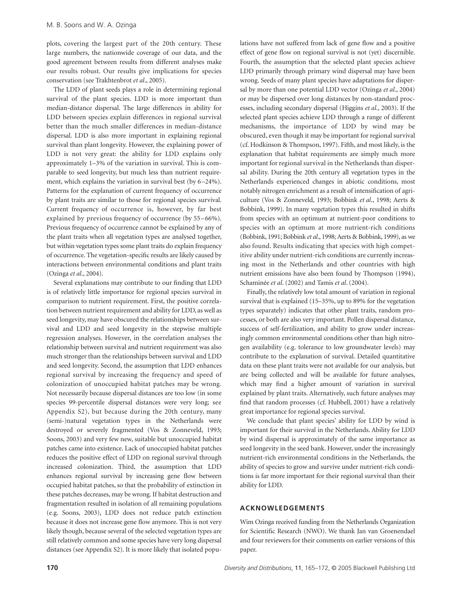plots, covering the largest part of the 20th century. These large numbers, the nationwide coverage of our data, and the good agreement between results from different analyses make our results robust. Our results give implications for species conservation (see Trakhtenbrot *et al*., 2005).

The LDD of plant seeds plays a role in determining regional survival of the plant species. LDD is more important than median-distance dispersal. The large differences in ability for LDD between species explain differences in regional survival better than the much smaller differences in median-distance dispersal. LDD is also more important in explaining regional survival than plant longevity. However, the explaining power of LDD is not very great: the ability for LDD explains only approximately 1–3% of the variation in survival. This is comparable to seed longevity, but much less than nutrient requirement, which explains the variation in survival best (by 6–24%). Patterns for the explanation of current frequency of occurrence by plant traits are similar to those for regional species survival. Current frequency of occurrence is, however, by far best explained by previous frequency of occurrence (by 55–66%). Previous frequency of occurrence cannot be explained by any of the plant traits when all vegetation types are analysed together, but within vegetation types some plant traits do explain frequency of occurrence. The vegetation-specific results are likely caused by interactions between environmental conditions and plant traits (Ozinga *et al*., 2004).

Several explanations may contribute to our finding that LDD is of relatively little importance for regional species survival in comparison to nutrient requirement. First, the positive correlation between nutrient requirement and ability for LDD, as well as seed longevity, may have obscured the relationships between survival and LDD and seed longevity in the stepwise multiple regression analyses. However, in the correlation analyses the relationship between survival and nutrient requirement was also much stronger than the relationships between survival and LDD and seed longevity. Second, the assumption that LDD enhances regional survival by increasing the frequency and speed of colonization of unoccupied habitat patches may be wrong. Not necessarily because dispersal distances are too low (in some species 99-percentile dispersal distances were very long; see Appendix S2), but because during the 20th century, many (semi-)natural vegetation types in the Netherlands were destroyed or severely fragmented (Vos & Zonneveld, 1993; Soons, 2003) and very few new, suitable but unoccupied habitat patches came into existence. Lack of unoccupied habitat patches reduces the positive effect of LDD on regional survival through increased colonization. Third, the assumption that LDD enhances regional survival by increasing gene flow between occupied habitat patches, so that the probability of extinction in these patches decreases, may be wrong. If habitat destruction and fragmentation resulted in isolation of all remaining populations (e.g. Soons, 2003), LDD does not reduce patch extinction because it does not increase gene flow anymore. This is not very likely though, because several of the selected vegetation types are still relatively common and some species have very long dispersal distances (see Appendix S2). It is more likely that isolated populations have not suffered from lack of gene flow and a positive effect of gene flow on regional survival is not (yet) discernible. Fourth, the assumption that the selected plant species achieve LDD primarily through primary wind dispersal may have been wrong. Seeds of many plant species have adaptations for dispersal by more than one potential LDD vector (Ozinga *et al*., 2004) or may be dispersed over long distances by non-standard processes, including secondary dispersal (Higgins *et al*., 2003). If the selected plant species achieve LDD through a range of different mechanisms, the importance of LDD by wind may be obscured, even though it may be important for regional survival (cf. Hodkinson & Thompson, 1997). Fifth, and most likely, is the explanation that habitat requirements are simply much more important for regional survival in the Netherlands than dispersal ability. During the 20th century all vegetation types in the Netherlands experienced changes in abiotic conditions, most notably nitrogen enrichment as a result of intensification of agriculture (Vos & Zonneveld, 1993; Bobbink *et al*., 1998; Aerts & Bobbink, 1999). In many vegetation types this resulted in shifts from species with an optimum at nutrient-poor conditions to species with an optimum at more nutrient-rich conditions (Bobbink, 1991; Bobbink *et al*., 1998; Aerts & Bobbink, 1999), as we also found. Results indicating that species with high competitive ability under nutrient-rich conditions are currently increasing most in the Netherlands and other countries with high nutrient emissions have also been found by Thompson (1994), Schaminée *et al*. (2002) and Tamis *et al*. (2004).

Finally, the relatively low total amount of variation in regional survival that is explained (15–35%, up to 89% for the vegetation types separately) indicates that other plant traits, random processes, or both are also very important. Pollen dispersal distance, success of self-fertilization, and ability to grow under increasingly common environmental conditions other than high nitrogen availability (e.g. tolerance to low groundwater levels) may contribute to the explanation of survival. Detailed quantitative data on these plant traits were not available for our analysis, but are being collected and will be available for future analyses, which may find a higher amount of variation in survival explained by plant traits. Alternatively, such future analyses may find that random processes (cf. Hubbell, 2001) have a relatively great importance for regional species survival.

We conclude that plant species' ability for LDD by wind is important for their survival in the Netherlands. Ability for LDD by wind dispersal is approximately of the same importance as seed longevity in the seed bank. However, under the increasingly nutrient-rich environmental conditions in the Netherlands, the ability of species to grow and survive under nutrient-rich conditions is far more important for their regional survival than their ability for LDD.

## **ACKNOWLEDGEMENTS**

Wim Ozinga received funding from the Netherlands Organization for Scientific Research (NWO). We thank Jan van Groenendael and four reviewers for their comments on earlier versions of this paper.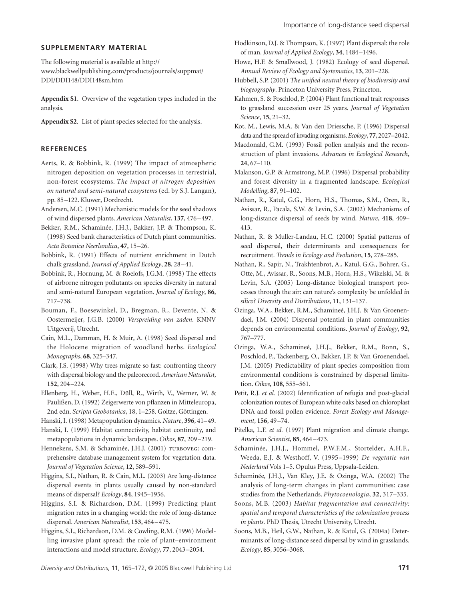#### **SUPPLEMENTARY MATERIAL**

The following material is available at<http://> www.blackwellpublishing.com/products/journals/suppmat/ DDI/DDI148/DDI148sm.htm

**Appendix S1**. Overview of the vegetation types included in the analysis.

**Appendix S2**. List of plant species selected for the analysis.

## **REFERENCES**

- Aerts, R. & Bobbink, R. (1999) The impact of atmospheric nitrogen deposition on vegetation processes in terrestrial, non-forest ecosystems. *The impact of nitrogen deposition on natural and semi-natural ecosystems* (ed. by S.J. Langan), pp. 85–122. Kluwer, Dordrecht.
- Andersen, M.C. (1991) Mechanistic models for the seed shadows of wind dispersed plants. *American Naturalist*, **137**, 476–497.
- Bekker, R.M., Schaminée, J.H.J., Bakker, J.P. & Thompson, K. (1998) Seed bank characteristics of Dutch plant communities. *Acta Botanica Neerlandica*, **47**, 15–26.
- Bobbink, R. (1991) Effects of nutrient enrichment in Dutch chalk grassland. *Journal of Applied Ecology*, **28**, 28–41.
- Bobbink, R., Hornung, M. & Roelofs, J.G.M. (1998) The effects of airborne nitrogen pollutants on species diversity in natural and semi-natural European vegetation. *Journal of Ecology*, **86**, 717–738.
- Bouman, F., Boesewinkel, D., Bregman, R., Devente, N. & Oostermeijer, J.G.B. (2000) *Verspreiding van zaden*. KNNV Uitgeverij, Utrecht.
- Cain, M.L., Damman, H. & Muir, A. (1998) Seed dispersal and the Holocene migration of woodland herbs. *Ecological Monographs*, **68**, 325–347.
- Clark, J.S. (1998) Why trees migrate so fast: confronting theory with dispersal biology and the paleorecord. *American Naturalist*, **152**, 204–224.
- Ellenberg, H., Weber, H.E., Düll, R., Wirth, V., Werner, W. & Paulißen, D. (1992) Zeigerwerte von pflanzen in Mitteleuropa, 2nd edn. *Scripta Geobotanica*, 18, 1–258. Goltze, Göttingen.
- Hanski, I. (1998) Metapopulation dynamics. *Nature*, **396**, 41–49.
- Hanski, I. (1999) Habitat connectivity, habitat continuity, and metapopulations in dynamic landscapes. *Oikos*, **87**, 209–219.
- Hennekens, S.M. & Schaminée, I.H.J. (2001) TURBOVEG: comprehensive database management system for vegetation data. *Journal of Vegetation Science*, **12**, 589–591.
- Higgins, S.I., Nathan, R. & Cain, M.L. (2003) Are long-distance dispersal events in plants usually caused by non-standard means of dispersal? *Ecology*, **84**, 1945–1956.
- Higgins, S.I. & Richardson, D.M. (1999) Predicting plant migration rates in a changing world: the role of long-distance dispersal. *American Naturalist*, **153**, 464–475.
- Higgins, S.I., Richardson, D.M. & Cowling, R.M. (1996) Modelling invasive plant spread: the role of plant–environment interactions and model structure. *Ecology*, **77**, 2043–2054.
- Hodkinson, D.J. & Thompson, K. (1997) Plant dispersal: the role of man. *Journal of Applied Ecology*, **34**, 1484–1496.
- Howe, H.F. & Smallwood, J. (1982) Ecology of seed dispersal. *Annual Review of Ecology and Systematics*, **13**, 201–228.
- Hubbell, S.P. (2001) *The unified neutral theory of biodiversity and biogeography*. Princeton University Press, Princeton.
- Kahmen, S. & Poschlod, P. (2004) Plant functional trait responses to grassland succession over 25 years. *Journal of Vegetation Science*, **15**, 21–32.
- Kot, M., Lewis, M.A. & Van den Driessche, P. (1996) Dispersal data and the spread of invading organisms. *Ecology*, **77**, 2027–2042.
- Macdonald, G.M. (1993) Fossil pollen analysis and the reconstruction of plant invasions. *Advances in Ecological Research*, **24**, 67–110.
- Malanson, G.P. & Armstrong, M.P. (1996) Dispersal probability and forest diversity in a fragmented landscape. *Ecological Modelling*, **87**, 91–102.
- Nathan, R., Katul, G.G., Horn, H.S., Thomas, S.M., Oren, R., Avissar, R., Pacala, S.W. & Levin, S.A. (2002) Mechanisms of long-distance dispersal of seeds by wind. *Nature*, **418**, 409– 413.
- Nathan, R. & Muller-Landau, H.C. (2000) Spatial patterns of seed dispersal, their determinants and consequences for recruitment. *Trends in Ecology and Evolution*, **15**, 278–285.
- Nathan, R., Sapir, N., Trakhtenbrot, A., Katul, G.G., Bohrer, G., Otte, M., Avissar, R., Soons, M.B., Horn, H.S., Wikelski, M. & Levin, S.A. (2005) Long-distance biological transport processes through the air: can nature's complexity be unfolded *in silico*? *Diversity and Distributions*, **11**, 131–137.
- Ozinga, W.A., Bekker, R.M., Schamineé, J.H.J. & Van Groenendael, J.M. (2004) Dispersal potential in plant communities depends on environmental conditions. *Journal of Ecology*, **92**, 767–777.
- Ozinga, W.A., Schamineé, J.H.J., Bekker, R.M., Bonn, S., Poschlod, P., Tackenberg, O., Bakker, J.P. & Van Groenendael, J.M. (2005) Predictability of plant species composition from environmental conditions is constrained by dispersal limitation. *Oikos*, **108**, 555–561.
- Petit, R.J. *et al.* (2002) Identification of refugia and post-glacial colonization routes of European white oaks based on chloroplast DNA and fossil pollen evidence. *Forest Ecology and Management*, **156**, 49–74.
- Pitelka, L.F. *et al.* (1997) Plant migration and climate change. *American Scientist*, **85**, 464–473.
- Schaminée, J.H.J., Hommel, P.W.F.M., Stortelder, A.H.F., Weeda, E.J. & Westhoff, V. (1995–1999) *De vegetatie van Nederland* Vols 1–5. Opulus Press, Uppsala-Leiden.
- Schaminée, J.H.J., Van Kley, J.E. & Ozinga, W.A. (2002) The analysis of long-term changes in plant communities: case studies from the Netherlands. *Phytocoenologia*, **32**, 317–335.
- Soons, M.B. (2003) *Habitat fragmentation and connectivity: spatial and temporal characteristics of the colonization process in plants*. PhD Thesis, Utrecht University, Utrecht.
- Soons, M.B., Heil, G.W., Nathan, R. & Katul, G. (2004a) Determinants of long-distance seed dispersal by wind in grasslands. *Ecology*, **85**, 3056–3068.